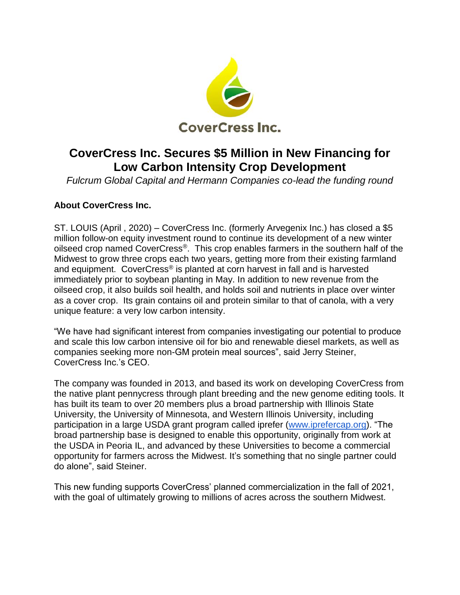

## **CoverCress Inc. Secures \$5 Million in New Financing for Low Carbon Intensity Crop Development**

*Fulcrum Global Capital and Hermann Companies co-lead the funding round*

## **About CoverCress Inc.**

ST. LOUIS (April , 2020) – CoverCress Inc. (formerly Arvegenix Inc.) has closed a \$5 million follow-on equity investment round to continue its development of a new winter oilseed crop named CoverCress®. This crop enables farmers in the southern half of the Midwest to grow three crops each two years, getting more from their existing farmland and equipment. CoverCress® is planted at corn harvest in fall and is harvested immediately prior to soybean planting in May. In addition to new revenue from the oilseed crop, it also builds soil health, and holds soil and nutrients in place over winter as a cover crop. Its grain contains oil and protein similar to that of canola, with a very unique feature: a very low carbon intensity.

"We have had significant interest from companies investigating our potential to produce and scale this low carbon intensive oil for bio and renewable diesel markets, as well as companies seeking more non-GM protein meal sources", said Jerry Steiner, CoverCress Inc.'s CEO.

The company was founded in 2013, and based its work on developing CoverCress from the native plant pennycress through plant breeding and the new genome editing tools. It has built its team to over 20 members plus a broad partnership with Illinois State University, the University of Minnesota, and Western Illinois University, including participation in a large USDA grant program called iprefer [\(www.iprefercap.org\)](https://www.iprefercap.org/). "The broad partnership base is designed to enable this opportunity, originally from work at the USDA in Peoria IL, and advanced by these Universities to become a commercial opportunity for farmers across the Midwest. It's something that no single partner could do alone", said Steiner.

This new funding supports CoverCress' planned commercialization in the fall of 2021, with the goal of ultimately growing to millions of acres across the southern Midwest.